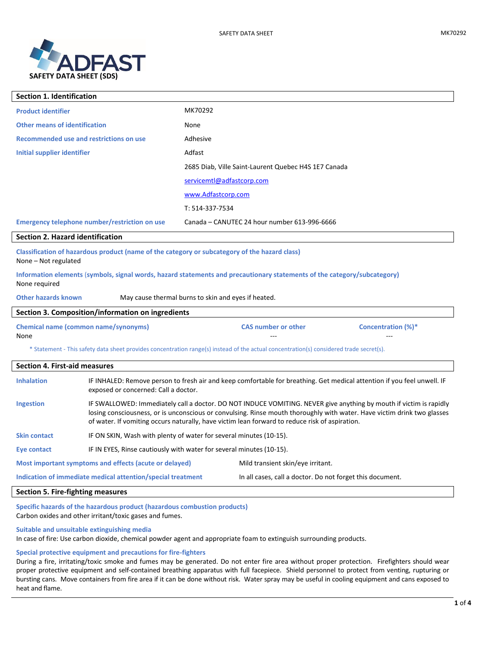

| <b>Section 1. Identification</b>                                                                                                          |                                                                                                                                                                                                                                                                                                                                                 |                                                           |  |  |
|-------------------------------------------------------------------------------------------------------------------------------------------|-------------------------------------------------------------------------------------------------------------------------------------------------------------------------------------------------------------------------------------------------------------------------------------------------------------------------------------------------|-----------------------------------------------------------|--|--|
| <b>Product identifier</b>                                                                                                                 |                                                                                                                                                                                                                                                                                                                                                 | MK70292                                                   |  |  |
| <b>Other means of identification</b>                                                                                                      |                                                                                                                                                                                                                                                                                                                                                 | None                                                      |  |  |
| <b>Recommended use and restrictions on use</b>                                                                                            |                                                                                                                                                                                                                                                                                                                                                 | Adhesive                                                  |  |  |
| Initial supplier identifier                                                                                                               |                                                                                                                                                                                                                                                                                                                                                 | Adfast                                                    |  |  |
|                                                                                                                                           |                                                                                                                                                                                                                                                                                                                                                 | 2685 Diab, Ville Saint-Laurent Quebec H4S 1E7 Canada      |  |  |
|                                                                                                                                           |                                                                                                                                                                                                                                                                                                                                                 | servicemtl@adfastcorp.com                                 |  |  |
|                                                                                                                                           |                                                                                                                                                                                                                                                                                                                                                 | www.Adfastcorp.com                                        |  |  |
|                                                                                                                                           |                                                                                                                                                                                                                                                                                                                                                 | T: 514-337-7534                                           |  |  |
|                                                                                                                                           | Emergency telephone number/restriction on use                                                                                                                                                                                                                                                                                                   | Canada - CANUTEC 24 hour number 613-996-6666              |  |  |
| Section 2. Hazard identification                                                                                                          |                                                                                                                                                                                                                                                                                                                                                 |                                                           |  |  |
| Classification of hazardous product (name of the category or subcategory of the hazard class)<br>None - Not regulated                     |                                                                                                                                                                                                                                                                                                                                                 |                                                           |  |  |
| Information elements (symbols, signal words, hazard statements and precautionary statements of the category/subcategory)<br>None required |                                                                                                                                                                                                                                                                                                                                                 |                                                           |  |  |
| <b>Other hazards known</b>                                                                                                                |                                                                                                                                                                                                                                                                                                                                                 | May cause thermal burns to skin and eyes if heated.       |  |  |
| Section 3. Composition/information on ingredients                                                                                         |                                                                                                                                                                                                                                                                                                                                                 |                                                           |  |  |
| <b>Chemical name (common name/synonyms)</b><br>None                                                                                       |                                                                                                                                                                                                                                                                                                                                                 | <b>CAS number or other</b><br><b>Concentration (%)*</b>   |  |  |
| * Statement - This safety data sheet provides concentration range(s) instead of the actual concentration(s) considered trade secret(s).   |                                                                                                                                                                                                                                                                                                                                                 |                                                           |  |  |
| <b>Section 4. First-aid measures</b>                                                                                                      |                                                                                                                                                                                                                                                                                                                                                 |                                                           |  |  |
| <b>Inhalation</b>                                                                                                                         | IF INHALED: Remove person to fresh air and keep comfortable for breathing. Get medical attention if you feel unwell. IF<br>exposed or concerned: Call a doctor.                                                                                                                                                                                 |                                                           |  |  |
| <b>Ingestion</b>                                                                                                                          | IF SWALLOWED: Immediately call a doctor. DO NOT INDUCE VOMITING. NEVER give anything by mouth if victim is rapidly<br>losing consciousness, or is unconscious or convulsing. Rinse mouth thoroughly with water. Have victim drink two glasses<br>of water. If vomiting occurs naturally, have victim lean forward to reduce risk of aspiration. |                                                           |  |  |
| <b>Skin contact</b>                                                                                                                       | IF ON SKIN, Wash with plenty of water for several minutes (10-15).                                                                                                                                                                                                                                                                              |                                                           |  |  |
| <b>Eye contact</b>                                                                                                                        | IF IN EYES, Rinse cautiously with water for several minutes (10-15).                                                                                                                                                                                                                                                                            |                                                           |  |  |
| Most important symptoms and effects (acute or delayed)                                                                                    |                                                                                                                                                                                                                                                                                                                                                 | Mild transient skin/eye irritant.                         |  |  |
|                                                                                                                                           | Indication of immediate medical attention/special treatment                                                                                                                                                                                                                                                                                     | In all cases, call a doctor. Do not forget this document. |  |  |
| . .                                                                                                                                       |                                                                                                                                                                                                                                                                                                                                                 |                                                           |  |  |

# **Section 5. Fire-fighting measures**

**Specific hazards of the hazardous product (hazardous combustion products)**  Carbon oxides and other irritant/toxic gases and fumes.

**Suitable and unsuitable extinguishing media**

In case of fire: Use carbon dioxide, chemical powder agent and appropriate foam to extinguish surrounding products.

# **Special protective equipment and precautions for fire-fighters**

During a fire, irritating/toxic smoke and fumes may be generated. Do not enter fire area without proper protection. Firefighters should wear proper protective equipment and self-contained breathing apparatus with full facepiece. Shield personnel to protect from venting, rupturing or bursting cans. Move containers from fire area if it can be done without risk. Water spray may be useful in cooling equipment and cans exposed to heat and flame.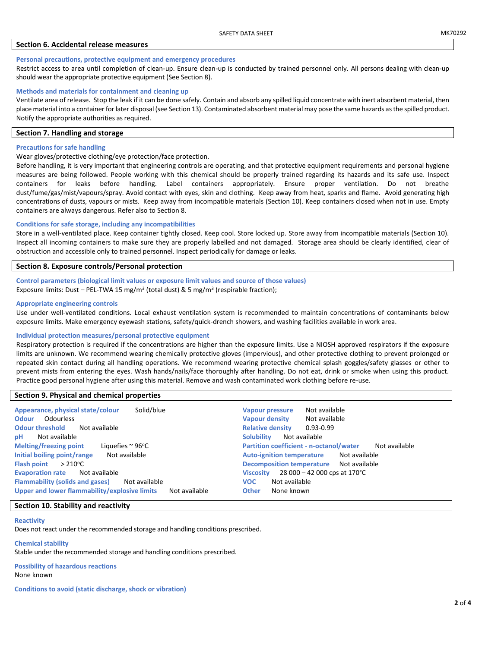## **Section 6. Accidental release measures**

#### **Personal precautions, protective equipment and emergency procedures**

Restrict access to area until completion of clean-up. Ensure clean-up is conducted by trained personnel only. All persons dealing with clean-up should wear the appropriate protective equipment (See Section 8).

#### **Methods and materials for containment and cleaning up**

Ventilate area of release. Stop the leak if it can be done safely. Contain and absorb any spilled liquid concentrate with inert absorbent material, then place material into a container for later disposal (see Section 13). Contaminated absorbent material may pose the same hazards as the spilled product. Notify the appropriate authorities as required.

#### **Section 7. Handling and storage**

#### **Precautions for safe handling**

#### Wear gloves/protective clothing/eye protection/face protection.

Before handling, it is very important that engineering controls are operating, and that protective equipment requirements and personal hygiene measures are being followed. People working with this chemical should be properly trained regarding its hazards and its safe use. Inspect containers for leaks before handling. Label containers appropriately. Ensure proper ventilation. Do not breathe dust/fume/gas/mist/vapours/spray. Avoid contact with eyes, skin and clothing. Keep away from heat, sparks and flame. Avoid generating high concentrations of dusts, vapours or mists. Keep away from incompatible materials (Section 10). Keep containers closed when not in use. Empty containers are always dangerous. Refer also to Section 8.

## **Conditions for safe storage, including any incompatibilities**

Store in a well-ventilated place. Keep container tightly closed. Keep cool. Store locked up. Store away from incompatible materials (Section 10). Inspect all incoming containers to make sure they are properly labelled and not damaged. Storage area should be clearly identified, clear of obstruction and accessible only to trained personnel. Inspect periodically for damage or leaks.

## **Section 8. Exposure controls/Personal protection**

# **Control parameters (biological limit values or exposure limit values and source of those values)**  Exposure limits: Dust – PEL-TWA 15 mg/m<sup>3</sup> (total dust) & 5 mg/m<sup>3</sup> (respirable fraction);

#### **Appropriate engineering controls**

Use under well-ventilated conditions. Local exhaust ventilation system is recommended to maintain concentrations of contaminants below exposure limits. Make emergency eyewash stations, safety/quick-drench showers, and washing facilities available in work area.

#### **Individual protection measures/personal protective equipment**

Respiratory protection is required if the concentrations are higher than the exposure limits. Use a NIOSH approved respirators if the exposure limits are unknown. We recommend wearing chemically protective gloves (impervious), and other protective clothing to prevent prolonged or repeated skin contact during all handling operations. We recommend wearing protective chemical splash goggles/safety glasses or other to prevent mists from entering the eyes. Wash hands/nails/face thoroughly after handling. Do not eat, drink or smoke when using this product. Practice good personal hygiene after using this material. Remove and wash contaminated work clothing before re-use.

#### **Section 9. Physical and chemical properties**

| Appearance, physical state/colour                                                                                                                                                                                                                        | Not available                                                                                                                                                                                                 |
|----------------------------------------------------------------------------------------------------------------------------------------------------------------------------------------------------------------------------------------------------------|---------------------------------------------------------------------------------------------------------------------------------------------------------------------------------------------------------------|
| Solid/blue                                                                                                                                                                                                                                               | <b>Vapour pressure</b>                                                                                                                                                                                        |
| Odourless                                                                                                                                                                                                                                                | <b>Vapour density</b>                                                                                                                                                                                         |
| <b>Odour</b>                                                                                                                                                                                                                                             | Not available                                                                                                                                                                                                 |
| <b>Odour threshold</b>                                                                                                                                                                                                                                   | <b>Relative density</b>                                                                                                                                                                                       |
| Not available                                                                                                                                                                                                                                            | $0.93 - 0.99$                                                                                                                                                                                                 |
| Not available                                                                                                                                                                                                                                            | <b>Solubility</b>                                                                                                                                                                                             |
| рH                                                                                                                                                                                                                                                       | Not available                                                                                                                                                                                                 |
| <b>Melting/freezing point</b>                                                                                                                                                                                                                            | <b>Partition coefficient - n-octanol/water</b>                                                                                                                                                                |
| Liquefies $\sim$ 96°C                                                                                                                                                                                                                                    | Not available                                                                                                                                                                                                 |
| Initial boiling point/range<br>Not available<br><b>Flash point</b><br>$>$ 210°C<br><b>Evaporation rate</b><br>Not available<br><b>Flammability (solids and gases)</b><br>Not available<br>Upper and lower flammability/explosive limits<br>Not available | <b>Auto-ignition temperature</b><br>Not available<br>Decomposition temperature Not available<br>$28000 - 42000$ cps at 170°C<br><b>Viscosity</b><br>Not available<br><b>VOC</b><br><b>Other</b><br>None known |

## **Section 10. Stability and reactivity**

## **Reactivity**

Does not react under the recommended storage and handling conditions prescribed.

**Chemical stability** Stable under the recommended storage and handling conditions prescribed.

## **Possibility of hazardous reactions**  None known

**Conditions to avoid (static discharge, shock or vibration)**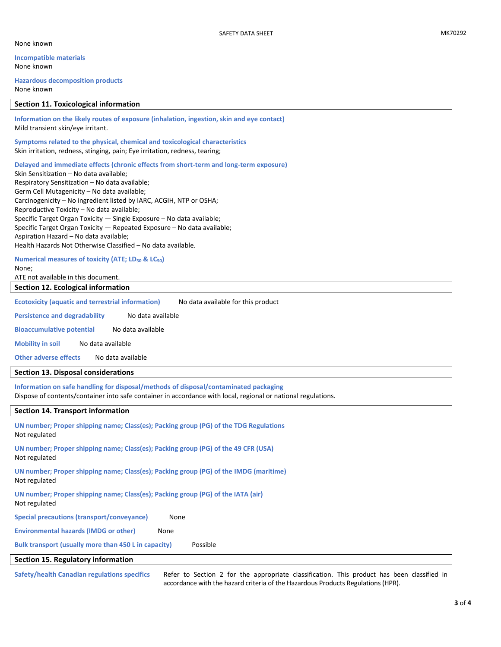**Incompatible materials** None known

**Hazardous decomposition products** None known

#### **Section 11. Toxicological information**

**Information on the likely routes of exposure (inhalation, ingestion, skin and eye contact)** Mild transient skin/eye irritant.

**Symptoms related to the physical, chemical and toxicological characteristics** Skin irritation, redness, stinging, pain; Eye irritation, redness, tearing;

**Delayed and immediate effects (chronic effects from short-term and long-term exposure)**

Skin Sensitization – No data available; Respiratory Sensitization – No data available; Germ Cell Mutagenicity – No data available; Carcinogenicity – No ingredient listed by IARC, ACGIH, NTP or OSHA; Reproductive Toxicity – No data available; Specific Target Organ Toxicity — Single Exposure – No data available; Specific Target Organ Toxicity — Repeated Exposure – No data available; Aspiration Hazard – No data available; Health Hazards Not Otherwise Classified – No data available.

**Numerical measures of toxicity (ATE; LD<sup>50</sup> & LC50)** None;

ATE not available in this document.

**Section 12. Ecological information**

**Ecotoxicity (aquatic and terrestrial information)** No data available for this product

**Persistence and degradability** No data available

**Bioaccumulative potential** No data available

**Mobility in soil** No data available

**Other adverse effects** No data available

# **Section 13. Disposal considerations**

**Information on safe handling for disposal/methods of disposal/contaminated packaging**  Dispose of contents/container into safe container in accordance with local, regional or national regulations.

# **Section 14. Transport information**

| UN number; Proper shipping name; Class(es); Packing group (PG) of the TDG Regulations<br>Not regulated |  |  |
|--------------------------------------------------------------------------------------------------------|--|--|
| UN number; Proper shipping name; Class(es); Packing group (PG) of the 49 CFR (USA)<br>Not regulated    |  |  |
| UN number; Proper shipping name; Class(es); Packing group (PG) of the IMDG (maritime)<br>Not regulated |  |  |
| UN number; Proper shipping name; Class(es); Packing group (PG) of the IATA (air)<br>Not regulated      |  |  |
| Special precautions (transport/conveyance)<br>None                                                     |  |  |
| <b>Environmental hazards (IMDG or other)</b><br>None                                                   |  |  |
| Bulk transport (usually more than 450 L in capacity)<br>Possible                                       |  |  |
| Section 15. Regulatory information                                                                     |  |  |

**Safety/health Canadian regulations specifics** Refer to Section 2 for the appropriate classification. This product has been classified in accordance with the hazard criteria of the Hazardous Products Regulations (HPR).